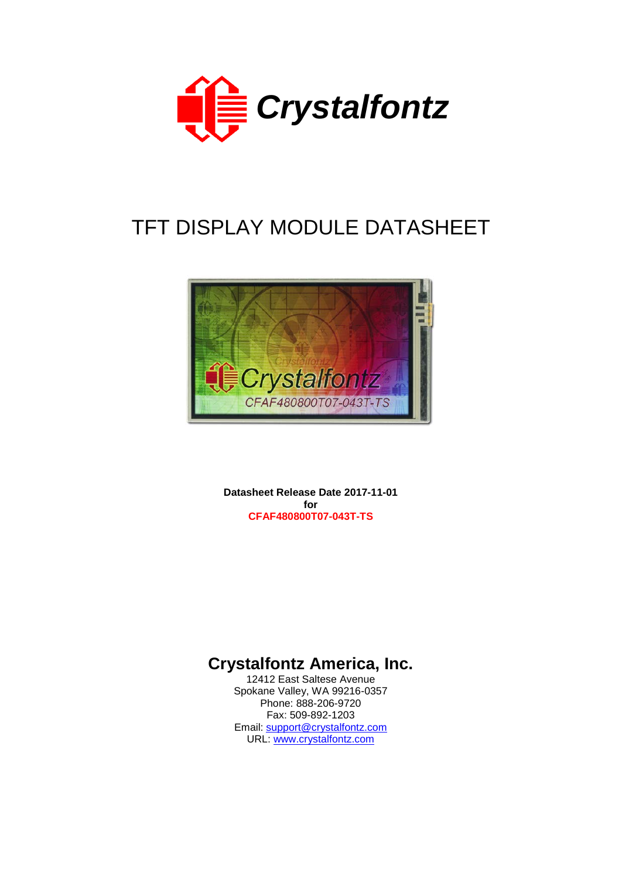

# TFT DISPLAY MODULE DATASHEET



**Datasheet Release Date 2017-11-01 for CFAF480800T07-043T-TS**

## **Crystalfontz America, Inc.**

12412 East Saltese Avenue Spokane Valley, WA 99216-0357 Phone: 888-206-9720 Fax: 509-892-1203 Email: [support@crystalfontz.com](mailto:support@crystalfontz.com) URL: [www.crystalfontz.com](http://www.crystalfontz.com/)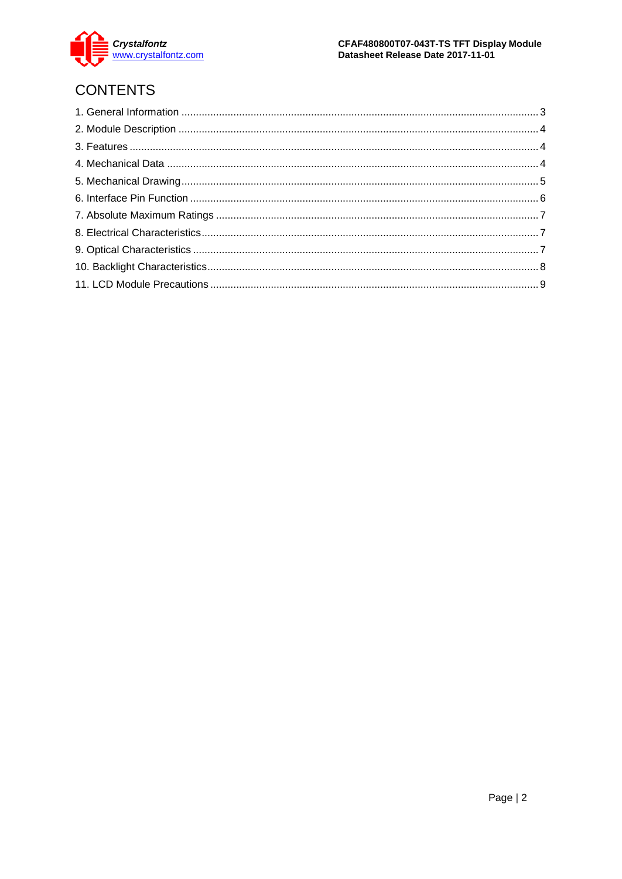

## **CONTENTS**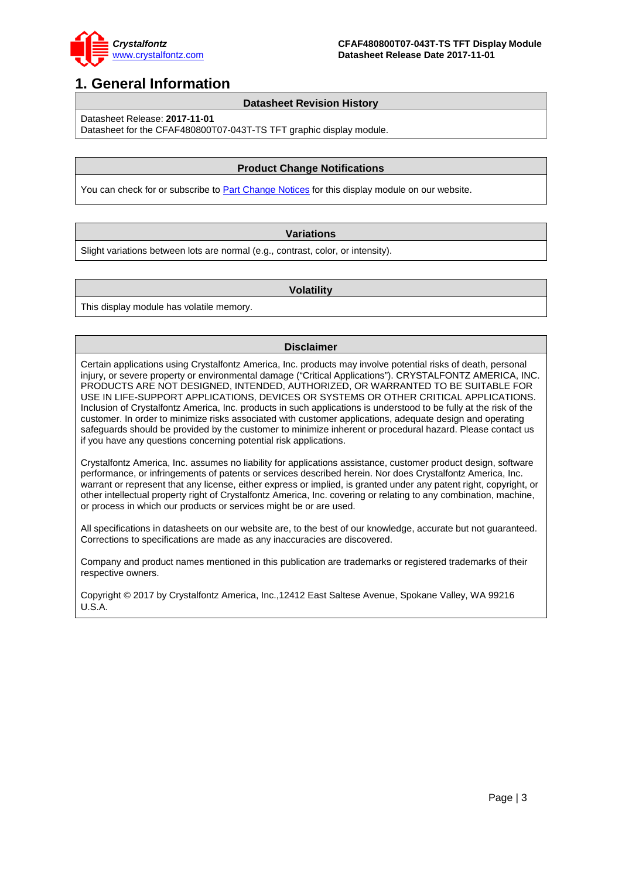

## <span id="page-2-0"></span>**1. General Information**

### **Datasheet Revision History**

Datasheet Release: **2017-11-01**

Datasheet for the CFAF480800T07-043T-TS TFT graphic display module.

### **Product Change Notifications**

You can check for or subscribe t[o Part Change Notices](https://www.crystalfontz.com/product/cfaf480800t07043tts-480x800-touchscreen) for this display module on our website.

### **Variations**

Slight variations between lots are normal (e.g., contrast, color, or intensity).

#### **Volatility**

This display module has volatile memory.

### **Disclaimer**

Certain applications using Crystalfontz America, Inc. products may involve potential risks of death, personal injury, or severe property or environmental damage ("Critical Applications"). CRYSTALFONTZ AMERICA, INC. PRODUCTS ARE NOT DESIGNED, INTENDED, AUTHORIZED, OR WARRANTED TO BE SUITABLE FOR USE IN LIFE-SUPPORT APPLICATIONS, DEVICES OR SYSTEMS OR OTHER CRITICAL APPLICATIONS. Inclusion of Crystalfontz America, Inc. products in such applications is understood to be fully at the risk of the customer. In order to minimize risks associated with customer applications, adequate design and operating safeguards should be provided by the customer to minimize inherent or procedural hazard. Please contact us if you have any questions concerning potential risk applications.

Crystalfontz America, Inc. assumes no liability for applications assistance, customer product design, software performance, or infringements of patents or services described herein. Nor does Crystalfontz America, Inc. warrant or represent that any license, either express or implied, is granted under any patent right, copyright, or other intellectual property right of Crystalfontz America, Inc. covering or relating to any combination, machine, or process in which our products or services might be or are used.

All specifications in datasheets on our website are, to the best of our knowledge, accurate but not guaranteed. Corrections to specifications are made as any inaccuracies are discovered.

Company and product names mentioned in this publication are trademarks or registered trademarks of their respective owners.

Copyright © 2017 by Crystalfontz America, Inc.,12412 East Saltese Avenue, Spokane Valley, WA 99216 U.S.A.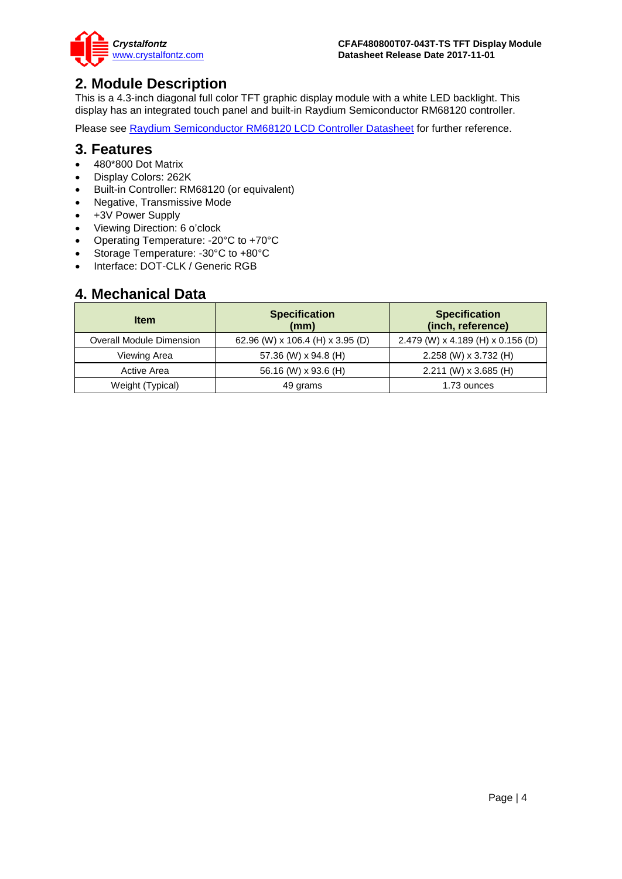

### <span id="page-3-0"></span>**2. Module Description**

This is a 4.3-inch diagonal full color TFT graphic display module with a white LED backlight. This display has an integrated touch panel and built-in Raydium Semiconductor RM68120 controller.

Please see [Raydium Semiconductor RM68120 LCD Controller Datasheet](https://www.crystalfontz.com/controllers/RaydiumSemiconductor/RM68120/) for further reference.

### <span id="page-3-1"></span>**3. Features**

- 480\*800 Dot Matrix
- Display Colors: 262K
- Built-in Controller: RM68120 (or equivalent)
- Negative, Transmissive Mode
- +3V Power Supply
- Viewing Direction: 6 o'clock
- Operating Temperature: -20°C to +70°C
- Storage Temperature: -30°C to +80°C
- Interface: DOT-CLK / Generic RGB

### <span id="page-3-2"></span>**4. Mechanical Data**

| <b>Item</b>              | <b>Specification</b><br>(mm)     | <b>Specification</b><br>(inch, reference) |
|--------------------------|----------------------------------|-------------------------------------------|
| Overall Module Dimension | 62.96 (W) x 106.4 (H) x 3.95 (D) | 2.479 (W) x 4.189 (H) x 0.156 (D)         |
| Viewing Area             | 57.36 (W) x 94.8 (H)             | 2.258 (W) x 3.732 (H)                     |
| Active Area              | 56.16 (W) x 93.6 (H)             | $2.211$ (W) x 3.685 (H)                   |
| Weight (Typical)         | 49 grams                         | 1.73 ounces                               |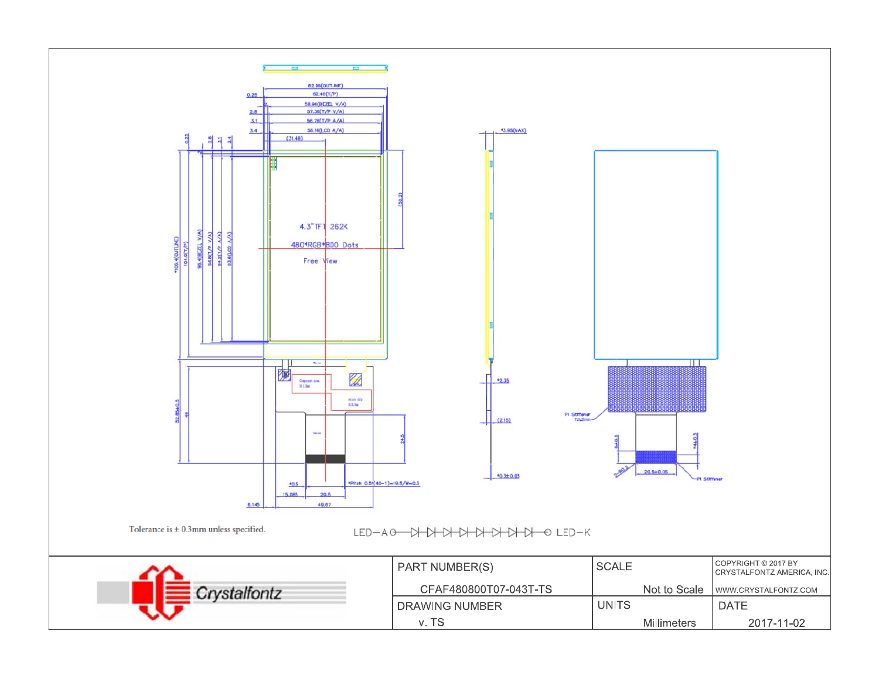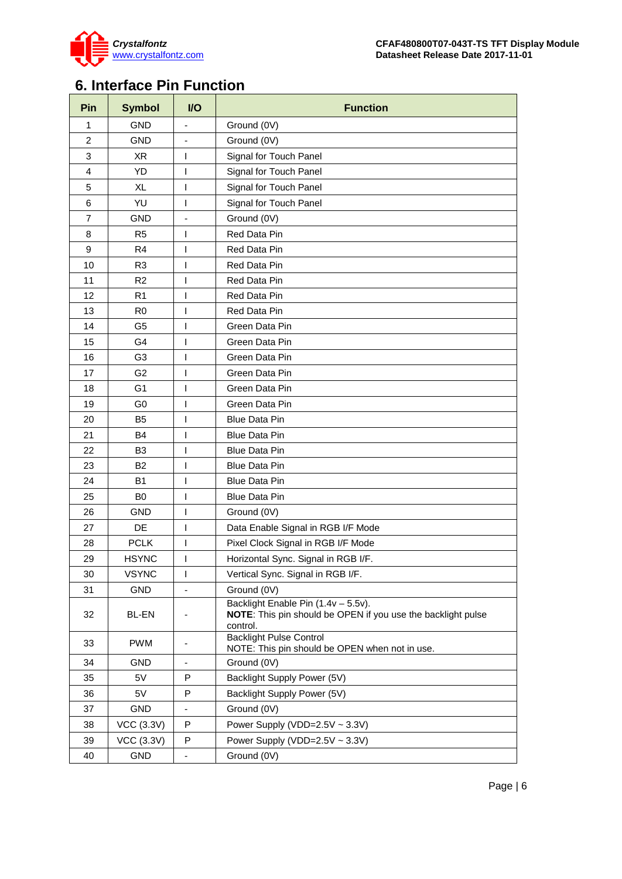

## <span id="page-5-0"></span>**6. Interface Pin Function**

| Pin            | <b>Symbol</b>     | $U$                          | <b>Function</b>                                                                                                 |
|----------------|-------------------|------------------------------|-----------------------------------------------------------------------------------------------------------------|
| $\mathbf{1}$   | <b>GND</b>        | $\overline{a}$               | Ground (0V)                                                                                                     |
| $\overline{2}$ | <b>GND</b>        |                              | Ground (0V)                                                                                                     |
| 3              | XR                | $\mathsf{l}$                 | Signal for Touch Panel                                                                                          |
| $\overline{4}$ | YD                | $\mathsf{I}$                 | Signal for Touch Panel                                                                                          |
| 5              | XL                | $\mathsf{I}$                 | Signal for Touch Panel                                                                                          |
| 6              | YU                | $\mathsf{I}$                 | Signal for Touch Panel                                                                                          |
| $\overline{7}$ | <b>GND</b>        | $\qquad \qquad \blacksquare$ | Ground (0V)                                                                                                     |
| 8              | R <sub>5</sub>    | $\mathsf{I}$                 | Red Data Pin                                                                                                    |
| 9              | R4                | $\mathsf{l}$                 | Red Data Pin                                                                                                    |
| 10             | R <sub>3</sub>    | $\mathsf{I}$                 | Red Data Pin                                                                                                    |
| 11             | R <sub>2</sub>    | $\mathsf{l}$                 | Red Data Pin                                                                                                    |
| 12             | R <sub>1</sub>    | $\mathsf{I}$                 | Red Data Pin                                                                                                    |
| 13             | R <sub>0</sub>    | $\mathsf{I}$                 | Red Data Pin                                                                                                    |
| 14             | G <sub>5</sub>    | $\mathsf{I}$                 | Green Data Pin                                                                                                  |
| 15             | G4                | $\mathsf{I}$                 | Green Data Pin                                                                                                  |
| 16             | G <sub>3</sub>    | I                            | Green Data Pin                                                                                                  |
| 17             | G <sub>2</sub>    | $\mathsf{I}$                 | Green Data Pin                                                                                                  |
| 18             | G <sub>1</sub>    | I                            | Green Data Pin                                                                                                  |
| 19             | G <sub>0</sub>    | $\mathsf{I}$                 | Green Data Pin                                                                                                  |
| 20             | B5                | $\mathsf{I}$                 | <b>Blue Data Pin</b>                                                                                            |
| 21             | <b>B4</b>         | $\mathsf{I}$                 | <b>Blue Data Pin</b>                                                                                            |
| 22             | B <sub>3</sub>    | $\mathsf{I}$                 | <b>Blue Data Pin</b>                                                                                            |
| 23             | <b>B2</b>         | $\mathsf{I}$                 | <b>Blue Data Pin</b>                                                                                            |
| 24             | B1                | $\mathsf{l}$                 | <b>Blue Data Pin</b>                                                                                            |
| 25             | B <sub>0</sub>    | $\mathsf{l}$                 | <b>Blue Data Pin</b>                                                                                            |
| 26             | <b>GND</b>        | $\mathsf{I}$                 | Ground (0V)                                                                                                     |
| 27             | DE                | $\overline{1}$               | Data Enable Signal in RGB I/F Mode                                                                              |
| 28             | <b>PCLK</b>       | $\mathsf{I}$                 | Pixel Clock Signal in RGB I/F Mode                                                                              |
| 29             | <b>HSYNC</b>      | $\mathsf{I}$                 | Horizontal Sync. Signal in RGB I/F.                                                                             |
| 30             | <b>VSYNC</b>      | $\mathsf{l}$                 | Vertical Sync. Signal in RGB I/F.                                                                               |
| 31             | <b>GND</b>        |                              | Ground (0V)                                                                                                     |
| 32             | <b>BL-EN</b>      | $\qquad \qquad \blacksquare$ | Backlight Enable Pin (1.4v - 5.5v).<br>NOTE: This pin should be OPEN if you use the backlight pulse<br>control. |
| 33             | <b>PWM</b>        | $\overline{\phantom{a}}$     | <b>Backlight Pulse Control</b><br>NOTE: This pin should be OPEN when not in use.                                |
| 34             | <b>GND</b>        | $\overline{\phantom{a}}$     | Ground (0V)                                                                                                     |
| 35             | 5V                | P                            | Backlight Supply Power (5V)                                                                                     |
| 36             | 5V                | P                            | Backlight Supply Power (5V)                                                                                     |
| 37             | <b>GND</b>        | $\blacksquare$               | Ground (0V)                                                                                                     |
| 38             | <b>VCC (3.3V)</b> | P                            | Power Supply (VDD=2.5V ~ 3.3V)                                                                                  |
| 39             | <b>VCC (3.3V)</b> | P                            | Power Supply (VDD=2.5V ~ 3.3V)                                                                                  |
| 40             | <b>GND</b>        | ۰                            | Ground (0V)                                                                                                     |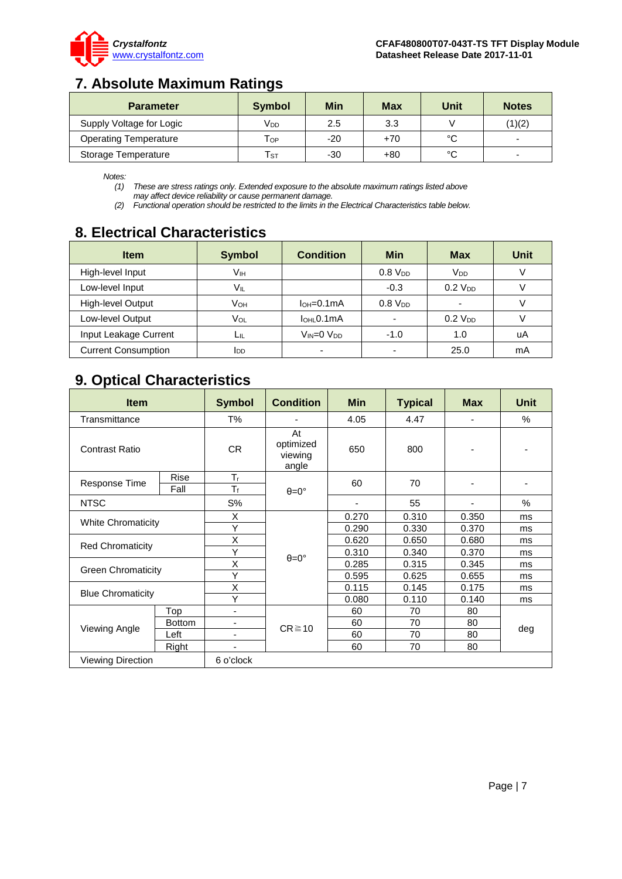

## <span id="page-6-0"></span>**7. Absolute Maximum Ratings**

| <b>Parameter</b>             | <b>Symbol</b>              | <b>Min</b> | Max   | <b>Unit</b> | <b>Notes</b> |
|------------------------------|----------------------------|------------|-------|-------------|--------------|
| Supply Voltage for Logic     | Vdd                        | 2.5        | 3.3   |             | (1)(2)       |
| <b>Operating Temperature</b> | Тор                        | $-20$      | $+70$ | °C          | -            |
| Storage Temperature          | $\mathsf{T}_{\texttt{ST}}$ | $-30$      | +80   | °C          |              |

*Notes:*

*(1) These are stress ratings only. Extended exposure to the absolute maximum ratings listed above may affect device reliability or cause permanent damage.* 

*(2) Functional operation should be restricted to the limits in the Electrical Characteristics table below.* 

## <span id="page-6-1"></span>**8. Electrical Characteristics**

| <b>Item</b>                | <b>Symbol</b> | <b>Condition</b>            | Min                 | <b>Max</b>            | Unit |
|----------------------------|---------------|-----------------------------|---------------------|-----------------------|------|
| High-level Input           | Vıн           |                             | $0.8$ $V_{DD}$      | <b>V<sub>DD</sub></b> |      |
| Low-level Input            | VIL           |                             | $-0.3$              | $0.2$ $V_{DD}$        |      |
| High-level Output          | Vон           | $IOH=0.1mA$                 | 0.8 V <sub>DD</sub> |                       |      |
| Low-level Output           | Vol           | $I$ <sub>OHL</sub> $0.1$ mA |                     | $0.2$ $V_{DD}$        |      |
| Input Leakage Current      | Lщ            | Vin=0 Vdd                   | $-1.0$              | 1.0                   | uA   |
| <b>Current Consumption</b> | <b>I</b> DD   |                             |                     | 25.0                  | mA   |

## <span id="page-6-2"></span>**9. Optical Characteristics**

| <b>Item</b>               |                     | <b>Symbol</b>                 | <b>Condition</b>                    | <b>Min</b>               | <b>Typical</b> | <b>Max</b> | <b>Unit</b> |
|---------------------------|---------------------|-------------------------------|-------------------------------------|--------------------------|----------------|------------|-------------|
| Transmittance             |                     | T%                            |                                     | 4.05                     | 4.47           |            | $\%$        |
| <b>Contrast Ratio</b>     |                     | CR.                           | At<br>optimized<br>viewing<br>angle | 650                      | 800            |            |             |
| Response Time             | <b>Rise</b><br>Fall | $T_{\rm r}$<br>T <sub>f</sub> | $\theta = 0^{\circ}$                | 60                       | 70             |            |             |
| <b>NTSC</b>               |                     | $S\%$                         |                                     | $\overline{\phantom{a}}$ | 55             |            | $\%$        |
|                           |                     | X                             | $\theta = 0^{\circ}$                | 0.270                    | 0.310          | 0.350      | ms          |
| <b>White Chromaticity</b> |                     | Y                             |                                     | 0.290                    | 0.330          | 0.370      | ms          |
|                           |                     | X                             |                                     | 0.620                    | 0.650          | 0.680      | ms          |
| <b>Red Chromaticity</b>   |                     | Υ                             |                                     | 0.310                    | 0.340          | 0.370      | ms          |
| <b>Green Chromaticity</b> |                     | X                             |                                     | 0.285                    | 0.315          | 0.345      | ms          |
|                           |                     | Υ                             |                                     | 0.595                    | 0.625          | 0.655      | ms          |
| <b>Blue Chromaticity</b>  |                     | X                             |                                     | 0.115                    | 0.145          | 0.175      | ms          |
|                           |                     | Y                             |                                     | 0.080                    | 0.110          | 0.140      | ms          |
| Viewing Angle             | Top                 | $\overline{\phantom{a}}$      | $CR \ge 10$                         | 60                       | 70             | 80         |             |
|                           | <b>Bottom</b>       |                               |                                     | 60                       | 70             | 80         |             |
|                           | Left                |                               |                                     | 60                       | 70             | 80         | deg         |
|                           | Right               |                               |                                     | 60                       | 70             | 80         |             |
| Viewing Direction         |                     | 6 o'clock                     |                                     |                          |                |            |             |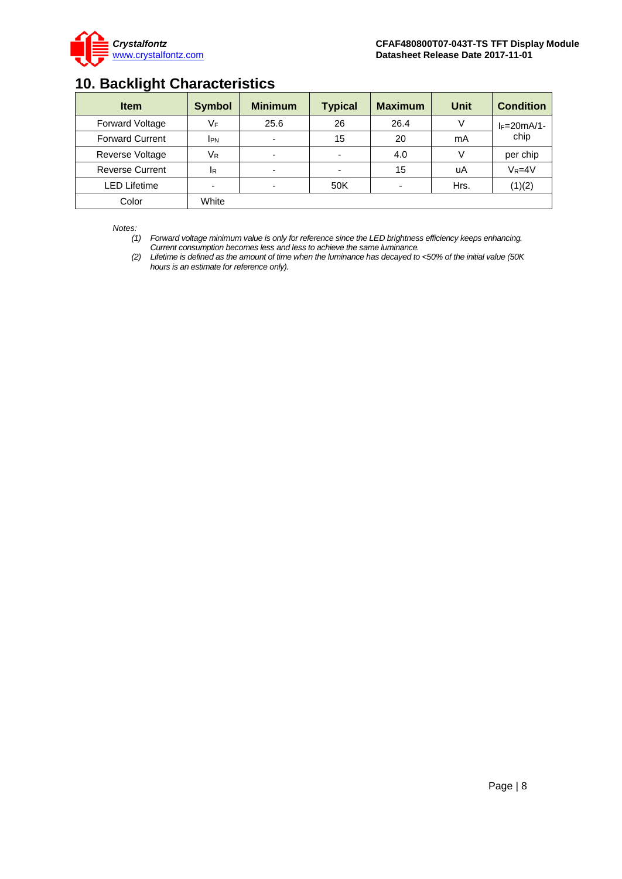

## <span id="page-7-0"></span>**10. Backlight Characteristics**

| <b>Item</b>            | <b>Symbol</b> | <b>Minimum</b> | <b>Typical</b> | <b>Maximum</b> | Unit | <b>Condition</b> |
|------------------------|---------------|----------------|----------------|----------------|------|------------------|
| Forward Voltage        | VF            | 25.6           | 26             | 26.4           | V    | $I_F=20mA/1-$    |
| <b>Forward Current</b> | <b>IPN</b>    |                | 15             | 20             | mA   | chip             |
| Reverse Voltage        | $V_{R}$       |                |                | 4.0            | V    | per chip         |
| <b>Reverse Current</b> | <b>IR</b>     |                |                | 15             | uA   | $V_R = 4V$       |
| <b>LED Lifetime</b>    | -             |                | 50K            |                | Hrs. | (1)(2)           |
| Color                  | White         |                |                |                |      |                  |

*Notes:* 

*(1) Forward voltage minimum value is only for reference since the LED brightness efficiency keeps enhancing. Current consumption becomes less and less to achieve the same luminance.* 

*(2) Lifetime is defined as the amount of time when the luminance has decayed to <50% of the initial value (50K hours is an estimate for reference only).*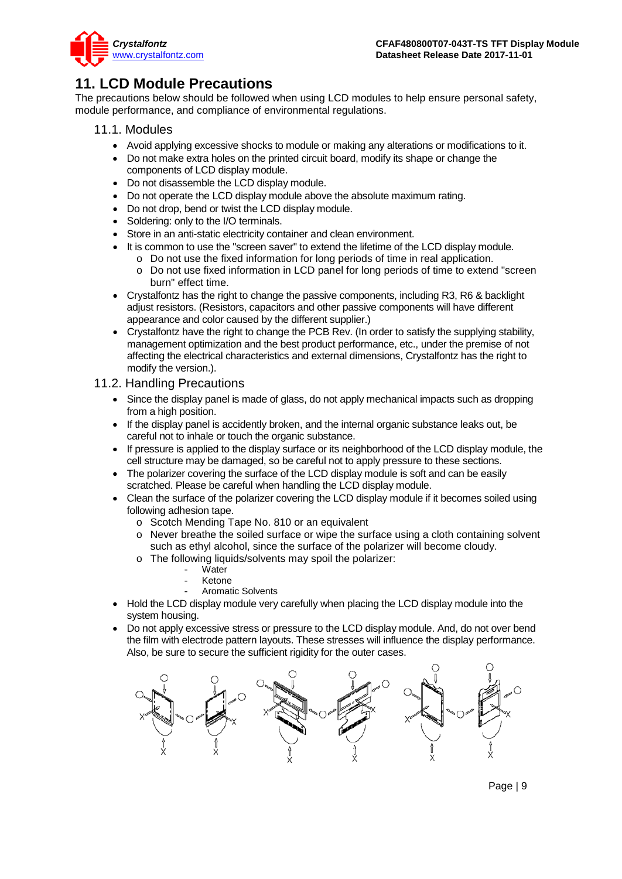

## <span id="page-8-0"></span>**11. LCD Module Precautions**

The precautions below should be followed when using LCD modules to help ensure personal safety, module performance, and compliance of environmental regulations.

- 11.1. Modules
	- Avoid applying excessive shocks to module or making any alterations or modifications to it.
	- Do not make extra holes on the printed circuit board, modify its shape or change the components of LCD display module.
	- Do not disassemble the LCD display module.
	- Do not operate the LCD display module above the absolute maximum rating.
	- Do not drop, bend or twist the LCD display module.
	- Soldering: only to the I/O terminals.
	- Store in an anti-static electricity container and clean environment.
	- It is common to use the "screen saver" to extend the lifetime of the LCD display module.
		- o Do not use the fixed information for long periods of time in real application.
		- o Do not use fixed information in LCD panel for long periods of time to extend "screen burn" effect time.
	- Crystalfontz has the right to change the passive components, including R3, R6 & backlight adjust resistors. (Resistors, capacitors and other passive components will have different appearance and color caused by the different supplier.)
	- Crystalfontz have the right to change the PCB Rev. (In order to satisfy the supplying stability, management optimization and the best product performance, etc., under the premise of not affecting the electrical characteristics and external dimensions, Crystalfontz has the right to modify the version.).

### 11.2. Handling Precautions

- Since the display panel is made of glass, do not apply mechanical impacts such as dropping from a high position.
- If the display panel is accidently broken, and the internal organic substance leaks out, be careful not to inhale or touch the organic substance.
- If pressure is applied to the display surface or its neighborhood of the LCD display module, the cell structure may be damaged, so be careful not to apply pressure to these sections.
- The polarizer covering the surface of the LCD display module is soft and can be easily scratched. Please be careful when handling the LCD display module.
- Clean the surface of the polarizer covering the LCD display module if it becomes soiled using following adhesion tape.
	- o Scotch Mending Tape No. 810 or an equivalent
	- $\circ$  Never breathe the soiled surface or wipe the surface using a cloth containing solvent such as ethyl alcohol, since the surface of the polarizer will become cloudy.
	- o The following liquids/solvents may spoil the polarizer:
		- Water
		- Ketone
		- Aromatic Solvents
- Hold the LCD display module very carefully when placing the LCD display module into the system housing.
- Do not apply excessive stress or pressure to the LCD display module. And, do not over bend the film with electrode pattern layouts. These stresses will influence the display performance. Also, be sure to secure the sufficient rigidity for the outer cases.

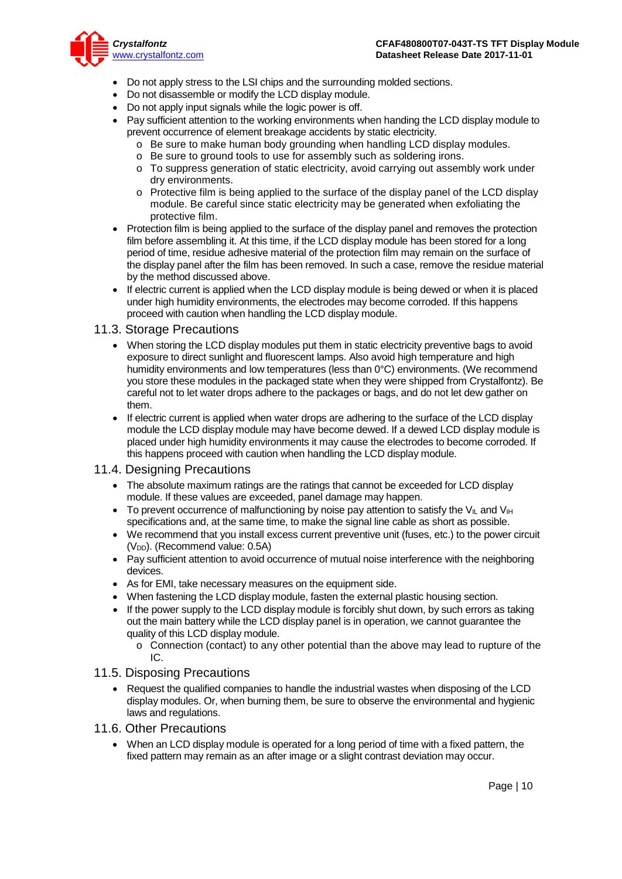

- Do not apply stress to the LSI chips and the surrounding molded sections.
- Do not disassemble or modify the LCD display module.
- Do not apply input signals while the logic power is off.
- Pay sufficient attention to the working environments when handing the LCD display module to prevent occurrence of element breakage accidents by static electricity.
	- o Be sure to make human body grounding when handling LCD display modules.
	- o Be sure to ground tools to use for assembly such as soldering irons.
	- o To suppress generation of static electricity, avoid carrying out assembly work under dry environments.
	- $\circ$  Protective film is being applied to the surface of the display panel of the LCD display module. Be careful since static electricity may be generated when exfoliating the protective film.
- Protection film is being applied to the surface of the display panel and removes the protection film before assembling it. At this time, if the LCD display module has been stored for a long period of time, residue adhesive material of the protection film may remain on the surface of the display panel after the film has been removed. In such a case, remove the residue material by the method discussed above.
- If electric current is applied when the LCD display module is being dewed or when it is placed under high humidity environments, the electrodes may become corroded. If this happens proceed with caution when handling the LCD display module.

### 11.3. Storage Precautions

- When storing the LCD display modules put them in static electricity preventive bags to avoid exposure to direct sunlight and fluorescent lamps. Also avoid high temperature and high humidity environments and low temperatures (less than 0°C) environments. (We recommend you store these modules in the packaged state when they were shipped from Crystalfontz). Be careful not to let water drops adhere to the packages or bags, and do not let dew gather on them.
- If electric current is applied when water drops are adhering to the surface of the LCD display module the LCD display module may have become dewed. If a dewed LCD display module is placed under high humidity environments it may cause the electrodes to become corroded. If this happens proceed with caution when handling the LCD display module.

### 11.4. Designing Precautions

- The absolute maximum ratings are the ratings that cannot be exceeded for LCD display module. If these values are exceeded, panel damage may happen.
- To prevent occurrence of malfunctioning by noise pay attention to satisfy the V<sub>II</sub> and V<sub>IH</sub> specifications and, at the same time, to make the signal line cable as short as possible.
- We recommend that you install excess current preventive unit (fuses, etc.) to the power circuit (V<sub>DD</sub>). (Recommend value: 0.5A)
- Pay sufficient attention to avoid occurrence of mutual noise interference with the neighboring devices.
- As for EMI, take necessary measures on the equipment side.
- When fastening the LCD display module, fasten the external plastic housing section.
- If the power supply to the LCD display module is forcibly shut down, by such errors as taking out the main battery while the LCD display panel is in operation, we cannot guarantee the quality of this LCD display module.
	- $\circ$  Connection (contact) to any other potential than the above may lead to rupture of the IC.

### 11.5. Disposing Precautions

- Request the qualified companies to handle the industrial wastes when disposing of the LCD display modules. Or, when burning them, be sure to observe the environmental and hygienic laws and regulations.
- 11.6. Other Precautions
	- When an LCD display module is operated for a long period of time with a fixed pattern, the fixed pattern may remain as an after image or a slight contrast deviation may occur.